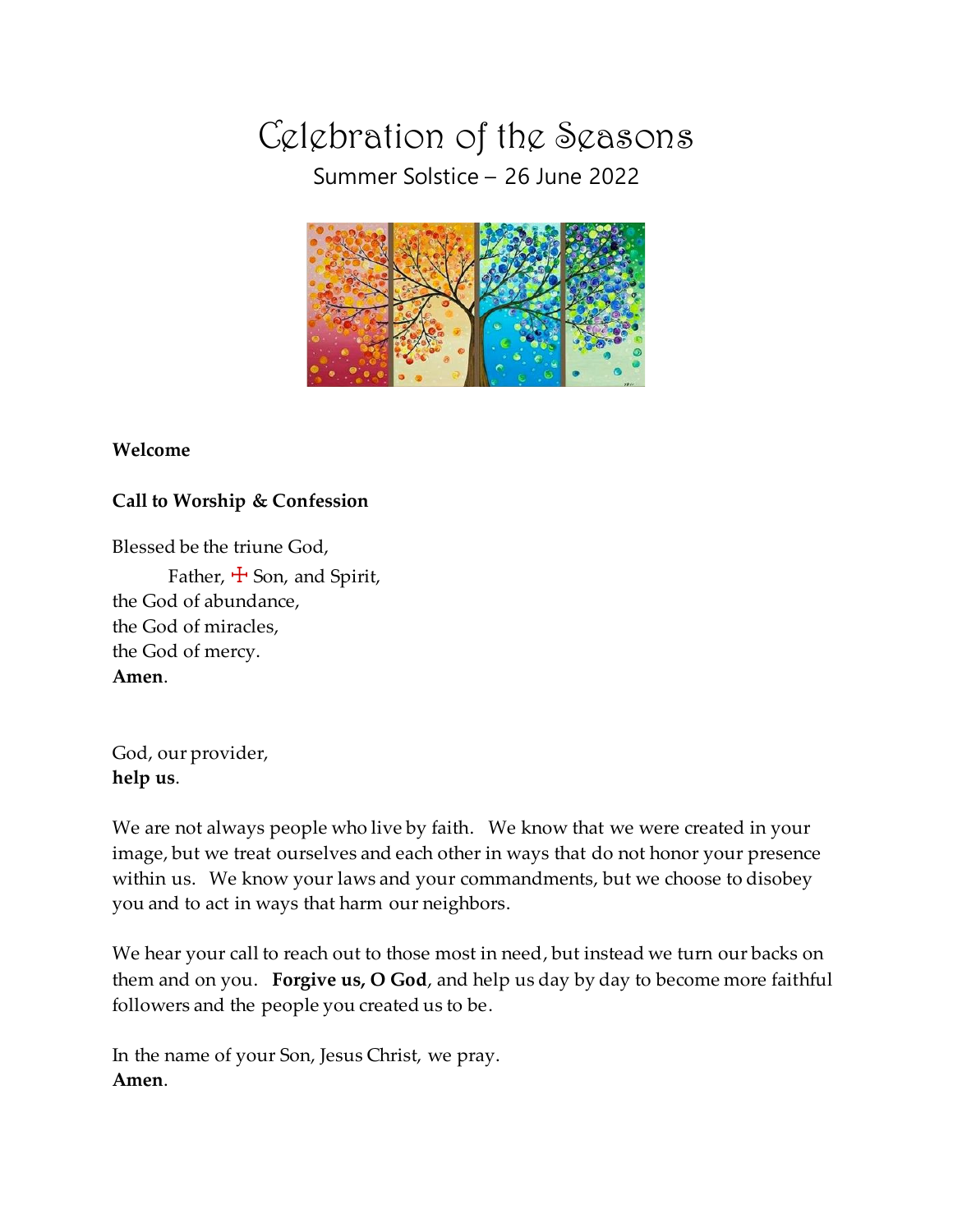Celebration of the Seasons Summer Solstice – 26 June 2022



# **Welcome**

**Call to Worship & Confession**

Blessed be the triune God,

Father,  $\pm$  Son, and Spirit, the God of abundance, the God of miracles, the God of mercy. **Amen**.

God, our provider, **help us**.

We are not always people who live by faith. We know that we were created in your image, but we treat ourselves and each other in ways that do not honor your presence within us. We know your laws and your commandments, but we choose to disobey you and to act in ways that harm our neighbors.

We hear your call to reach out to those most in need, but instead we turn our backs on them and on you. **Forgive us, O God**, and help us day by day to become more faithful followers and the people you created us to be.

In the name of your Son, Jesus Christ, we pray. **Amen**.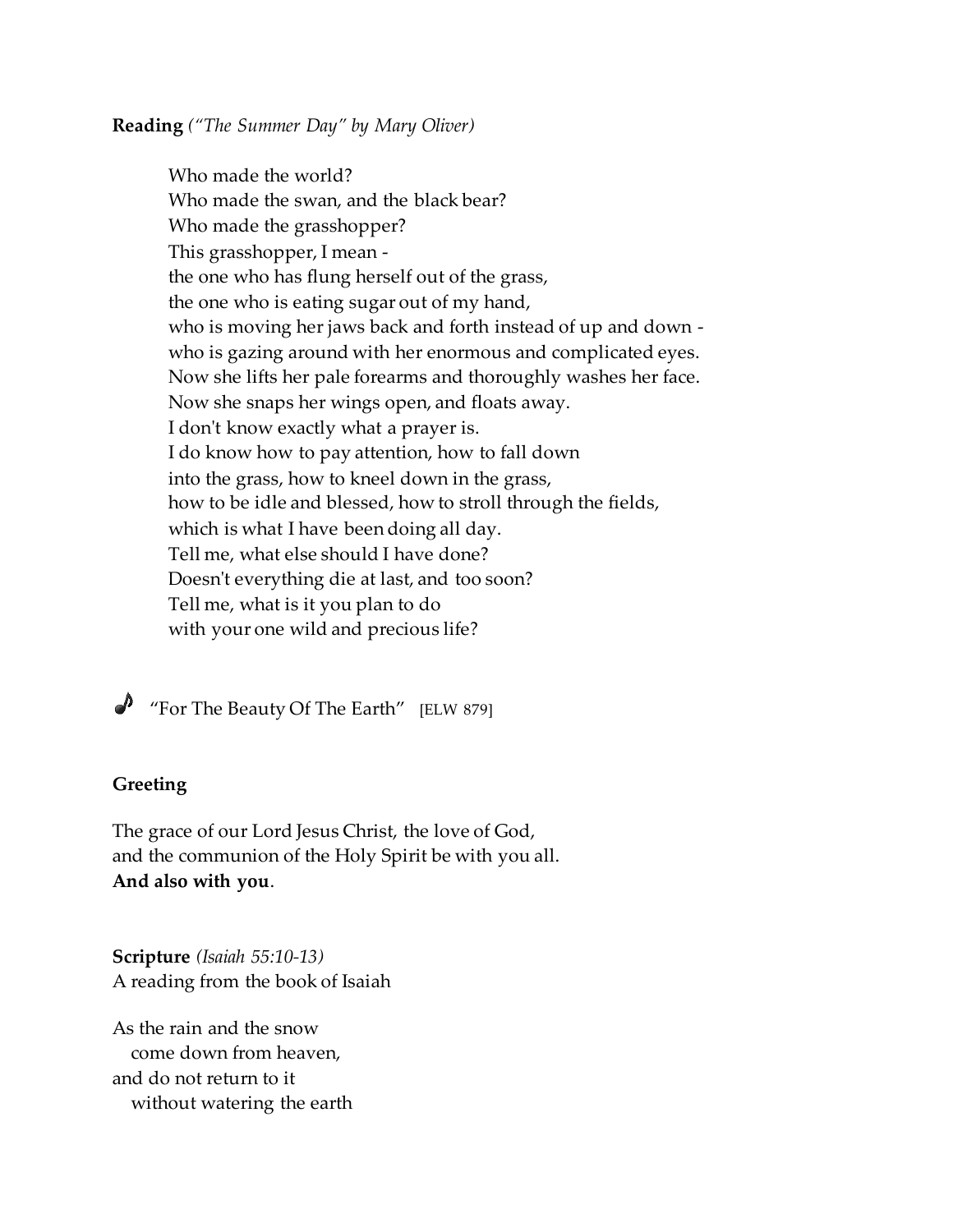**Reading** *("The Summer Day" by Mary Oliver)*

Who made the world? Who made the swan, and the black bear? Who made the grasshopper? This grasshopper, I mean the one who has flung herself out of the grass, the one who is eating sugar out of my hand, who is moving her jaws back and forth instead of up and down who is gazing around with her enormous and complicated eyes. Now she lifts her pale forearms and thoroughly washes her face. Now she snaps her wings open, and floats away. I don't know exactly what a prayer is. I do know how to pay attention, how to fall down into the grass, how to kneel down in the grass, how to be idle and blessed, how to stroll through the fields, which is what I have been doing all day. Tell me, what else should I have done? Doesn't everything die at last, and too soon? Tell me, what is it you plan to do with your one wild and precious life?

 $\bigtriangledown$  "For The Beauty Of The Earth" [ELW 879]

#### **Greeting**

The grace of our Lord Jesus Christ, the love of God, and the communion of the Holy Spirit be with you all. **And also with you**.

**Scripture** *(Isaiah 55:10-13)* A reading from the book of Isaiah

As the rain and the snow come down from heaven, and do not return to it without watering the earth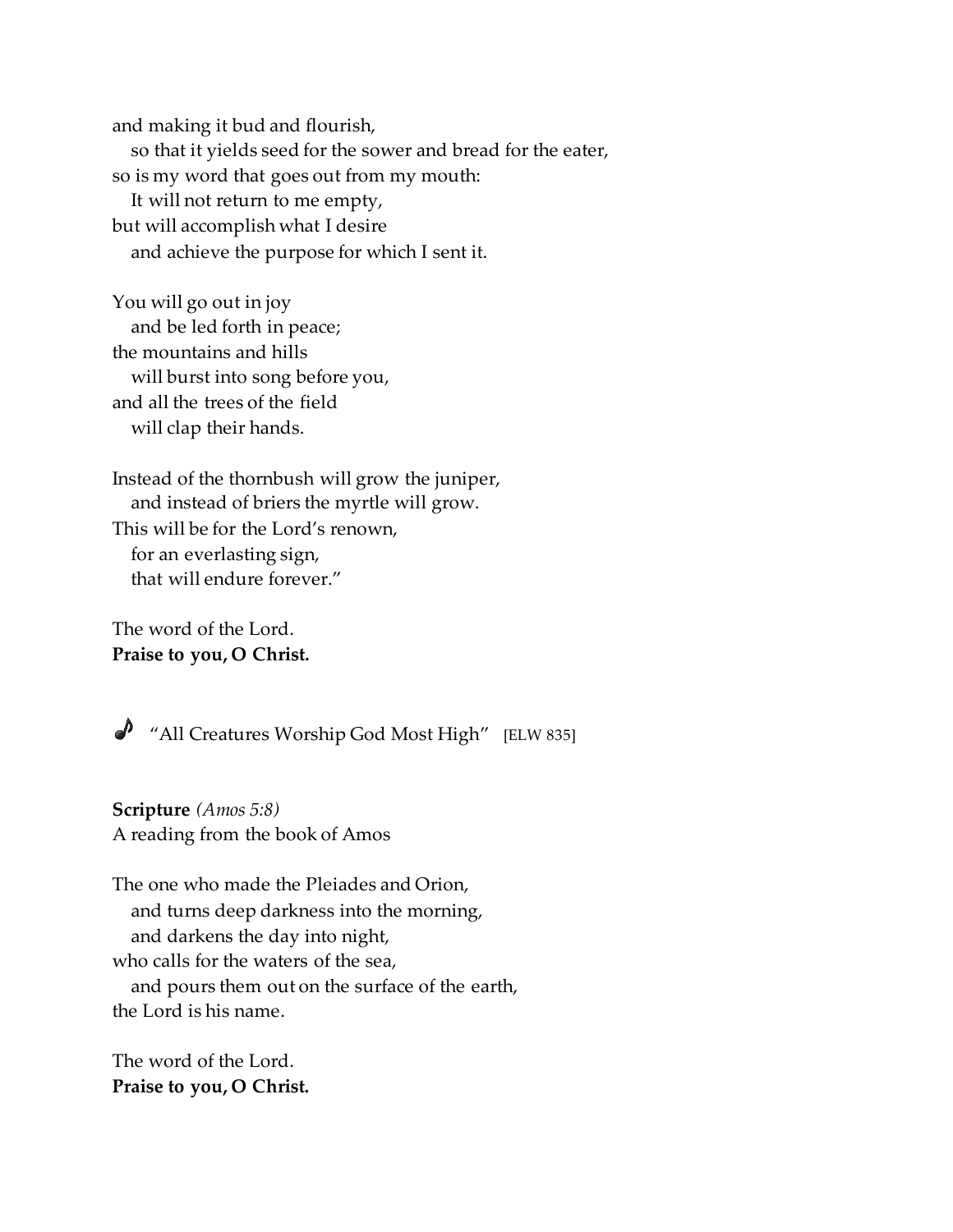and making it bud and flourish, so that it yields seed for the sower and bread for the eater, so is my word that goes out from my mouth: It will not return to me empty, but will accomplish what I desire and achieve the purpose for which I sent it.

You will go out in joy and be led forth in peace; the mountains and hills will burst into song before you, and all the trees of the field will clap their hands.

Instead of the thornbush will grow the juniper, and instead of briers the myrtle will grow. This will be for the Lord's renown, for an everlasting sign, that will endure forever."

The word of the Lord. **Praise to you, O Christ.**

"All Creatures Worship God Most High" [ELW 835]

**Scripture** *(Amos 5:8)* A reading from the book of Amos

The one who made the Pleiades and Orion, and turns deep darkness into the morning, and darkens the day into night, who calls for the waters of the sea, and pours them out on the surface of the earth, the Lord is his name.

The word of the Lord. **Praise to you, O Christ.**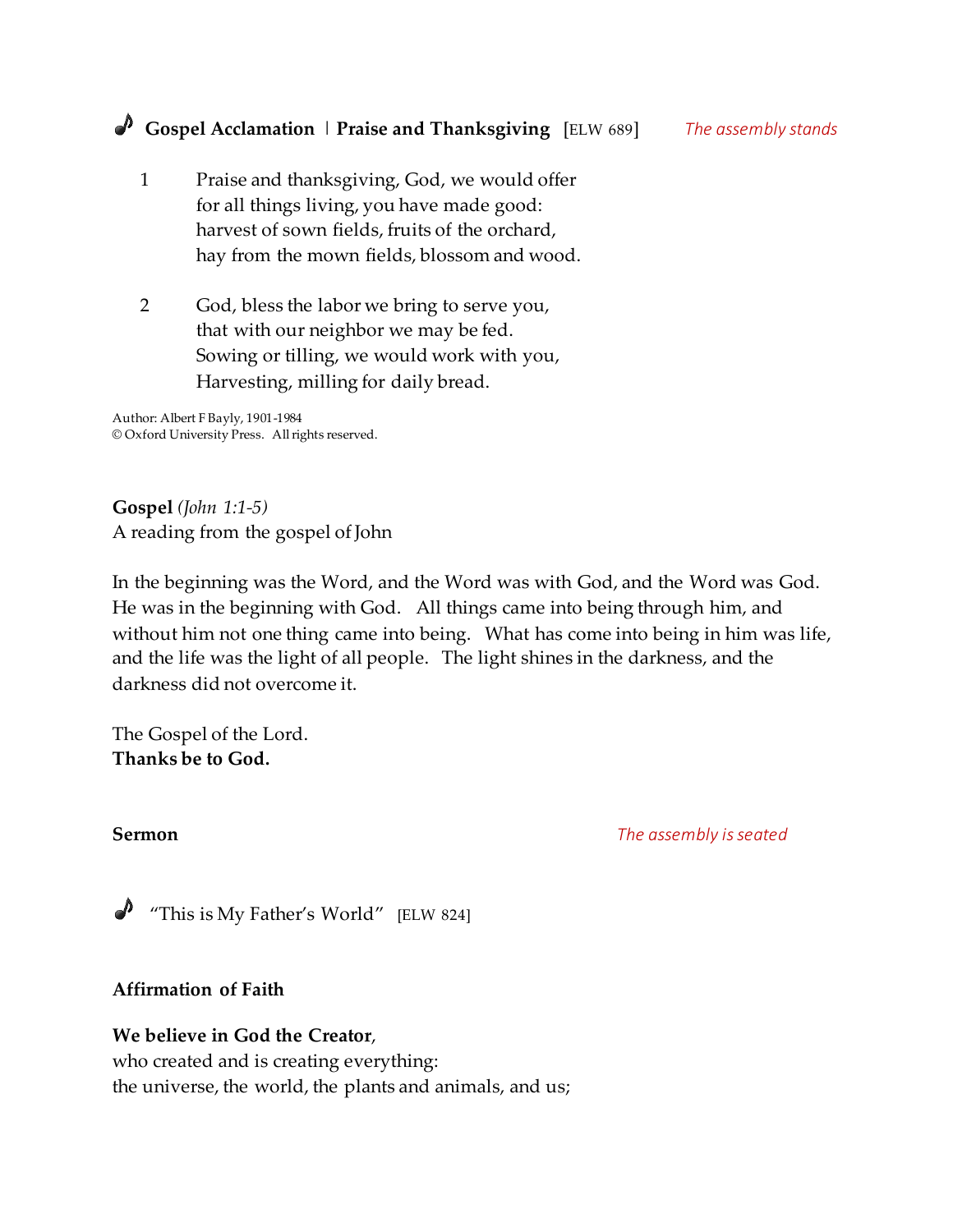- 1 Praise and thanksgiving, God, we would offer for all things living, you have made good: harvest of sown fields, fruits of the orchard, hay from the mown fields, blossom and wood.
- 2 God, bless the labor we bring to serve you, that with our neighbor we may be fed. Sowing or tilling, we would work with you, Harvesting, milling for daily bread.

Author: Albert F Bayly, 1901-1984 © Oxford University Press. All rights reserved.

**Gospel** *(John 1:1-5)* A reading from the gospel of John

In the beginning was the Word, and the Word was with God, and the Word was God. He was in the beginning with God. All things came into being through him, and without him not one thing came into being. What has come into being in him was life, and the life was the light of all people. The light shines in the darkness, and the darkness did not overcome it.

The Gospel of the Lord. **Thanks be to God.**

**Sermon** *The assembly is seated* 

"This is My Father's World" [ELW 824]

# **Affirmation of Faith**

# **We believe in God the Creator**,

who created and is creating everything: the universe, the world, the plants and animals, and us;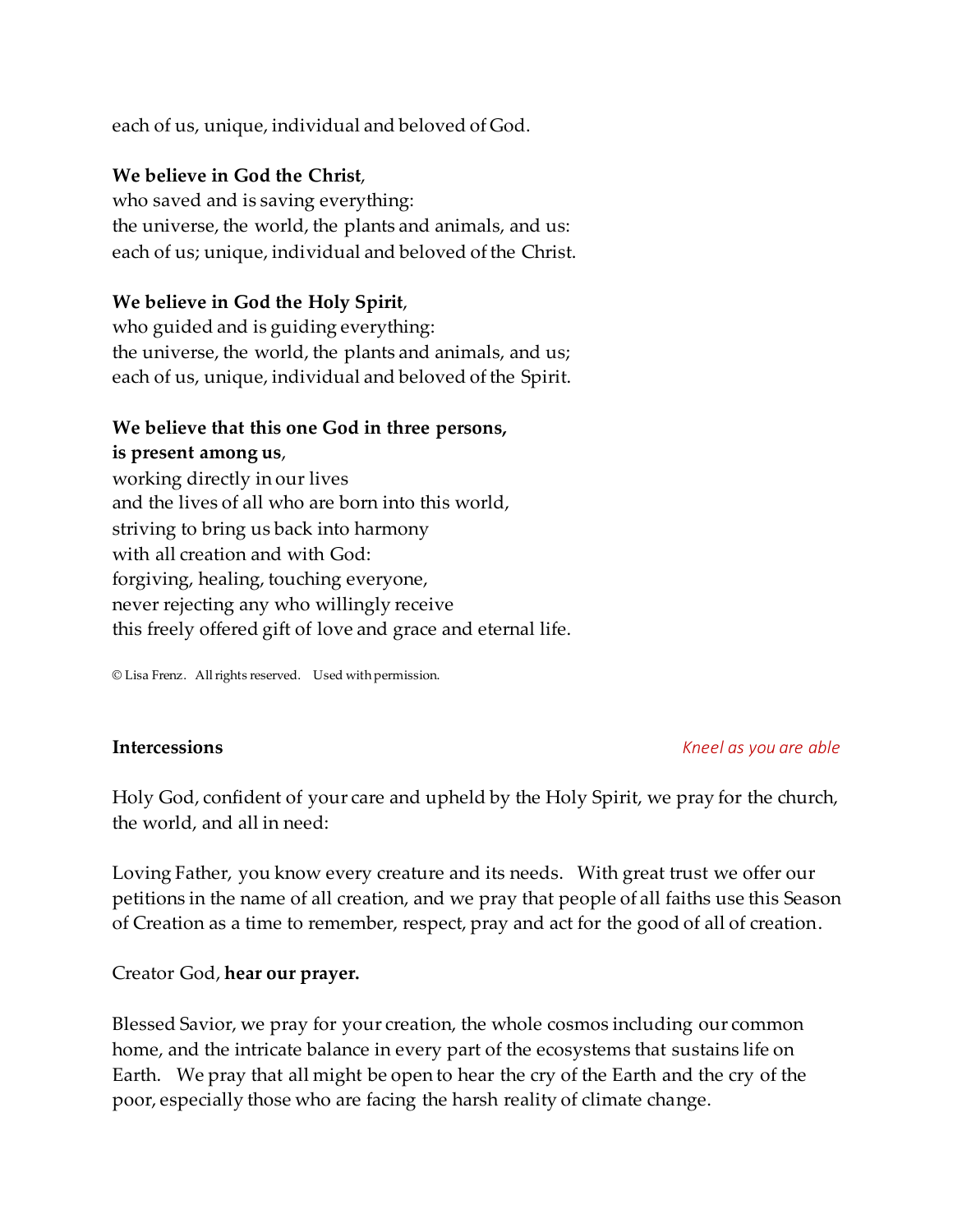each of us, unique, individual and beloved of God.

# **We believe in God the Christ**,

who saved and is saving everything: the universe, the world, the plants and animals, and us: each of us; unique, individual and beloved of the Christ.

# **We believe in God the Holy Spirit**,

who guided and is guiding everything: the universe, the world, the plants and animals, and us; each of us, unique, individual and beloved of the Spirit.

# **We believe that this one God in three persons,**

**is present among us**, working directly in our lives and the lives of all who are born into this world, striving to bring us back into harmony with all creation and with God: forgiving, healing, touching everyone, never rejecting any who willingly receive this freely offered gift of love and grace and eternal life.

© Lisa Frenz. All rights reserved. Used with permission.

#### **Intercessions** *Kneel as you are able*

Holy God, confident of your care and upheld by the Holy Spirit, we pray for the church, the world, and all in need:

Loving Father, you know every creature and its needs. With great trust we offer our petitions in the name of all creation, and we pray that people of all faiths use this Season of Creation as a time to remember, respect, pray and act for the good of all of creation.

# Creator God, **hear our prayer.**

Blessed Savior, we pray for your creation, the whole cosmos including our common home, and the intricate balance in every part of the ecosystems that sustains life on Earth. We pray that all might be open to hear the cry of the Earth and the cry of the poor, especially those who are facing the harsh reality of climate change.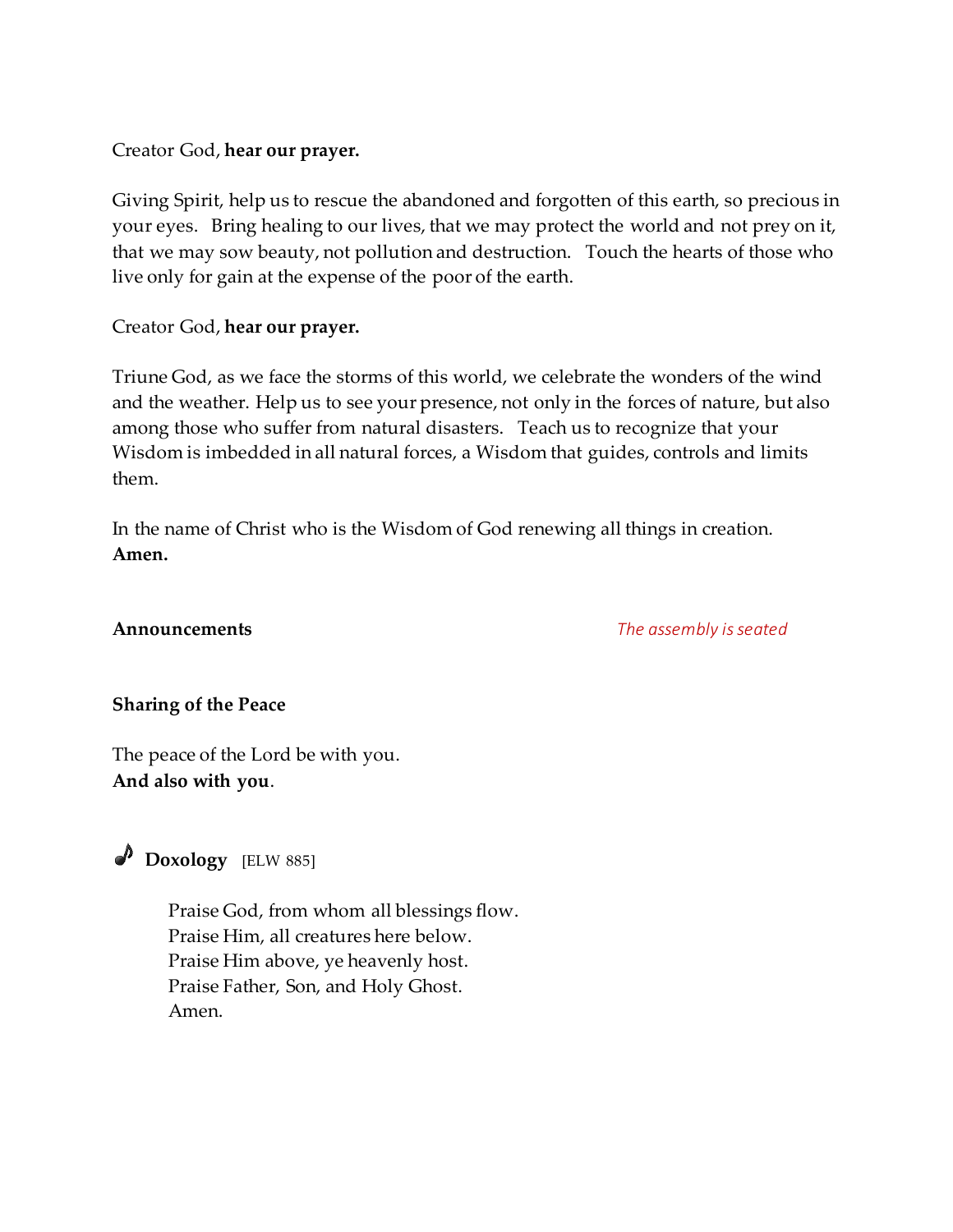# Creator God, **hear our prayer.**

Giving Spirit, help us to rescue the abandoned and forgotten of this earth, so precious in your eyes. Bring healing to our lives, that we may protect the world and not prey on it, that we may sow beauty, not pollution and destruction. Touch the hearts of those who live only for gain at the expense of the poor of the earth.

# Creator God, **hear our prayer.**

Triune God, as we face the storms of this world, we celebrate the wonders of the wind and the weather. Help us to see your presence, not only in the forces of nature, but also among those who suffer from natural disasters. Teach us to recognize that your Wisdom is imbedded in all natural forces, a Wisdom that guides, controls and limits them.

In the name of Christ who is the Wisdom of God renewing all things in creation. **Amen.**

**Announcements** *The assembly isseated*

# **Sharing of the Peace**

The peace of the Lord be with you. **And also with you**.

 **Doxology** [ELW 885]

Praise God, from whom all blessings flow. Praise Him, all creatures here below. Praise Him above, ye heavenly host. Praise Father, Son, and Holy Ghost. Amen.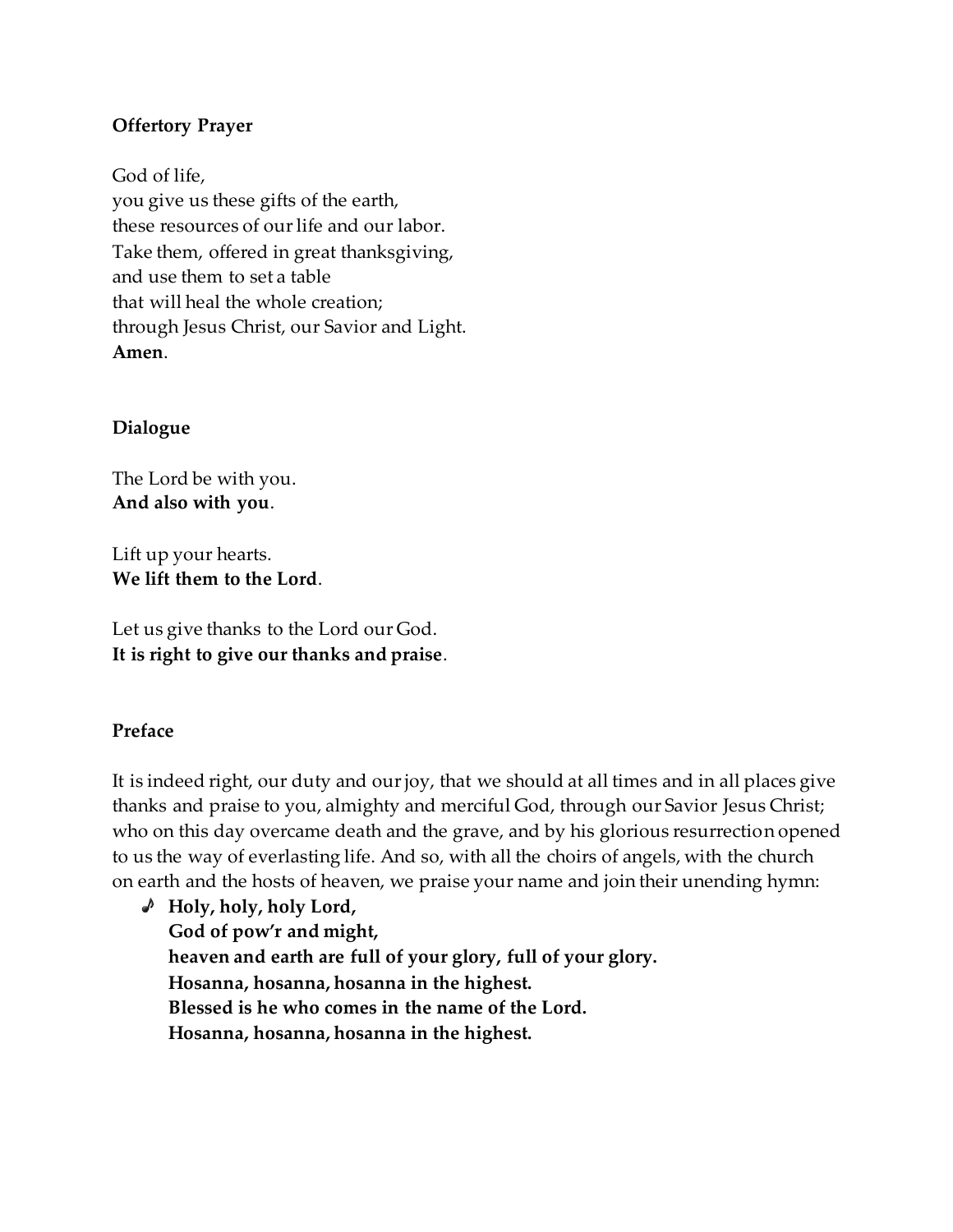#### **Offertory Prayer**

God of life, you give us these gifts of the earth, these resources of our life and our labor. Take them, offered in great thanksgiving, and use them to set a table that will heal the whole creation; through Jesus Christ, our Savior and Light. **Amen**.

#### **Dialogue**

The Lord be with you. **And also with you**.

Lift up your hearts. **We lift them to the Lord**.

Let us give thanks to the Lord our God. **It is right to give our thanks and praise**.

# **Preface**

It is indeed right, our duty and our joy, that we should at all times and in all places give thanks and praise to you, almighty and merciful God, through our Savior Jesus Christ; who on this day overcame death and the grave, and by his glorious resurrection opened to us the way of everlasting life. And so, with all the choirs of angels, with the church on earth and the hosts of heaven, we praise your name and join their unending hymn:

**Holy, holy, holy Lord, God of pow'r and might, heaven and earth are full of your glory, full of your glory. Hosanna, hosanna, hosanna in the highest. Blessed is he who comes in the name of the Lord. Hosanna, hosanna, hosanna in the highest.**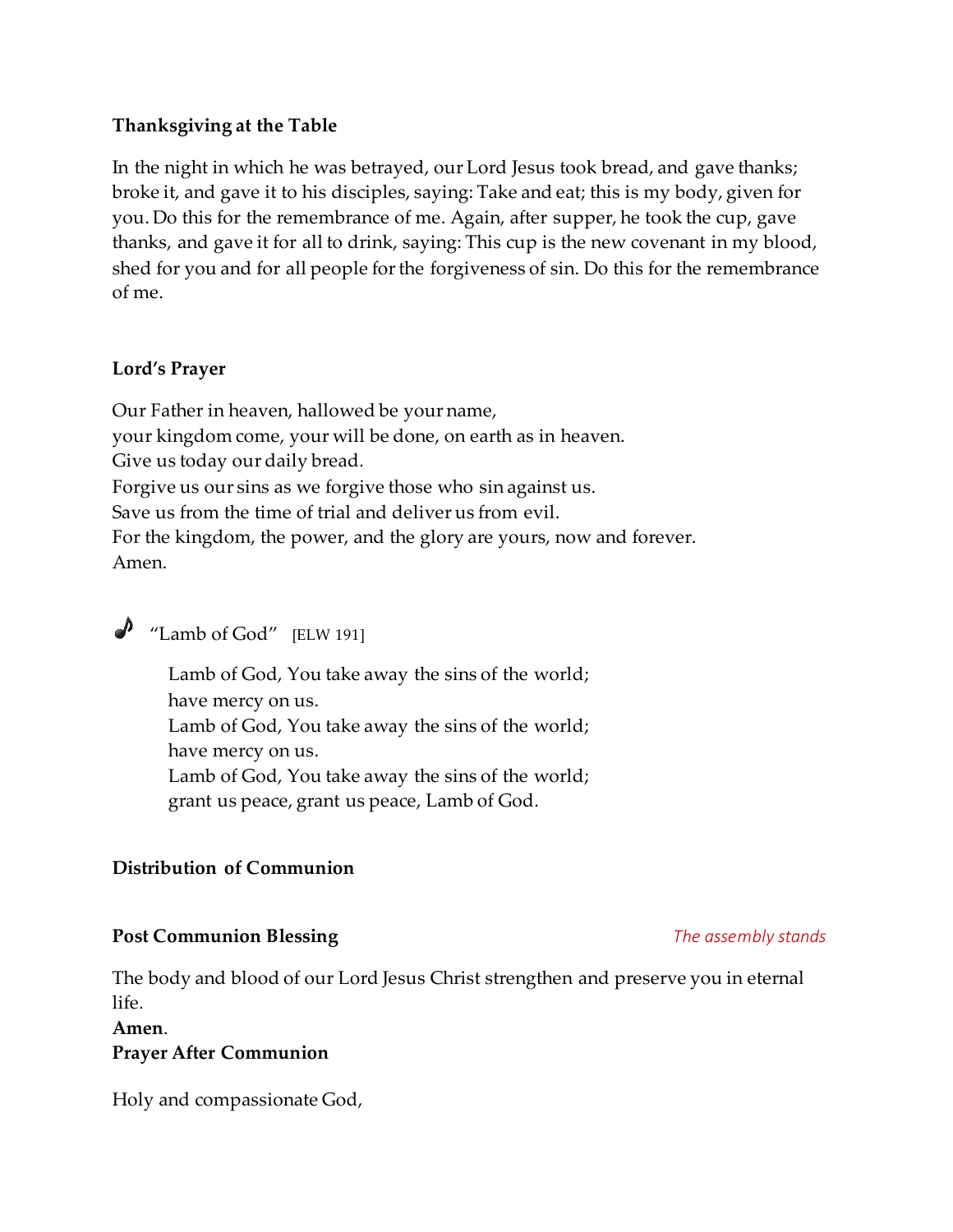#### **Thanksgiving at the Table**

In the night in which he was betrayed, our Lord Jesus took bread, and gave thanks; broke it, and gave it to his disciples, saying: Take and eat; this is my body, given for you. Do this for the remembrance of me. Again, after supper, he took the cup, gave thanks, and gave it for all to drink, saying: This cup is the new covenant in my blood, shed for you and for all people for the forgiveness of sin. Do this for the remembrance of me.

#### **Lord's Prayer**

Our Father in heaven, hallowed be your name, your kingdom come, your will be done, on earth as in heaven. Give us today our daily bread. Forgive us our sins as we forgive those who sin against us. Save us from the time of trial and deliver us from evil. For the kingdom, the power, and the glory are yours, now and forever. Amen.

# $\triangle$  "Lamb of God" [ELW 191]

Lamb of God, You take away the sins of the world; have mercy on us. Lamb of God, You take away the sins of the world; have mercy on us. Lamb of God, You take away the sins of the world; grant us peace, grant us peace, Lamb of God.

# **Distribution of Communion**

#### **Post Communion Blessing** *The assembly stands*

The body and blood of our Lord Jesus Christ strengthen and preserve you in eternal life.

#### **Amen**.

#### **Prayer After Communion**

Holy and compassionate God,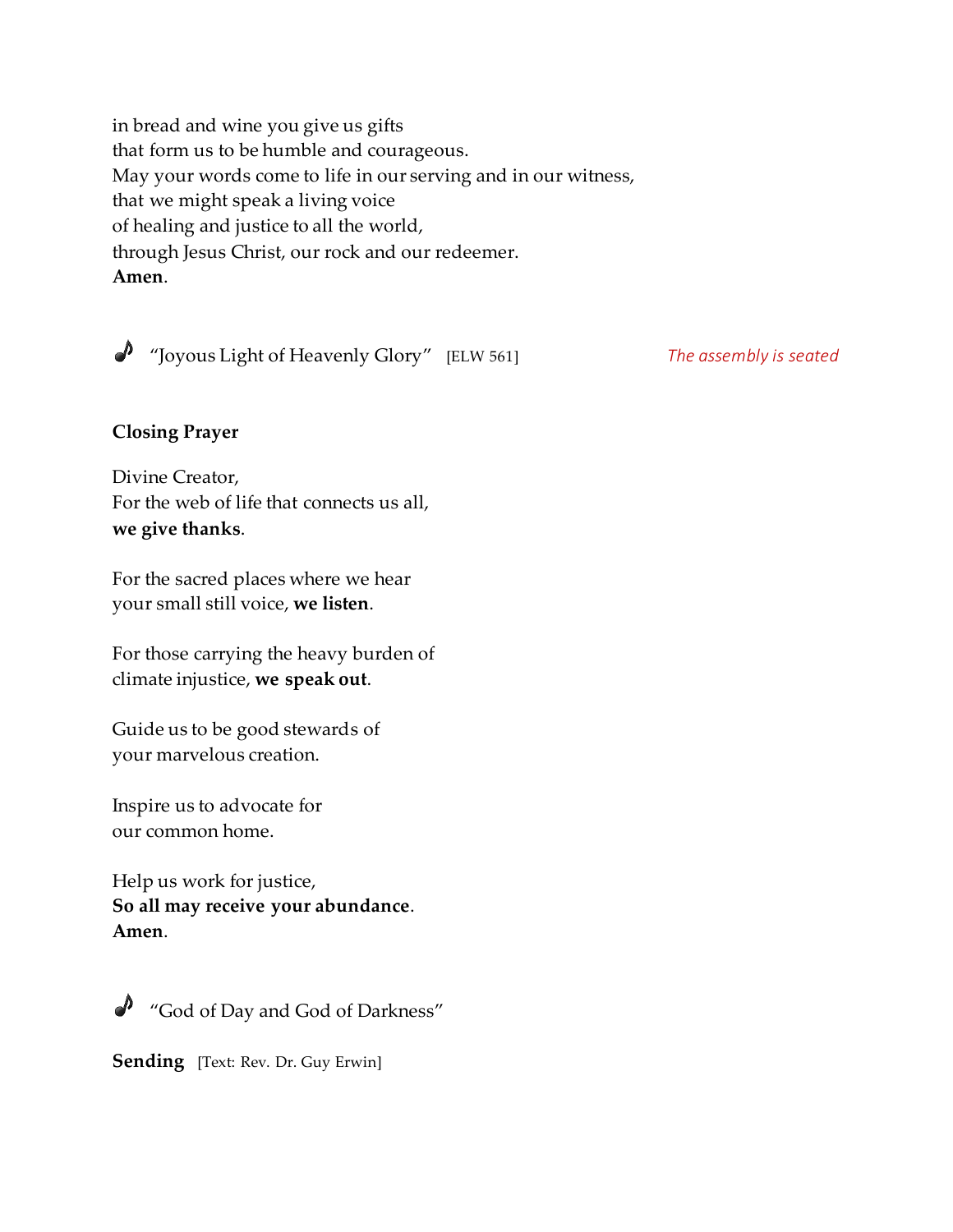in bread and wine you give us gifts that form us to be humble and courageous. May your words come to life in our serving and in our witness, that we might speak a living voice of healing and justice to all the world, through Jesus Christ, our rock and our redeemer. **Amen**.

"Joyous Light of Heavenly Glory" [ELW 561] *The assembly is seated*

# **Closing Prayer**

Divine Creator, For the web of life that connects us all, **we give thanks**.

For the sacred places where we hear your small still voice, **we listen**.

For those carrying the heavy burden of climate injustice, **we speak out**.

Guide us to be good stewards of your marvelous creation.

Inspire us to advocate for our common home.

Help us work for justice, **So all may receive your abundance**. **Amen**.



"God of Day and God of Darkness"

**Sending** [Text: Rev. Dr. Guy Erwin]